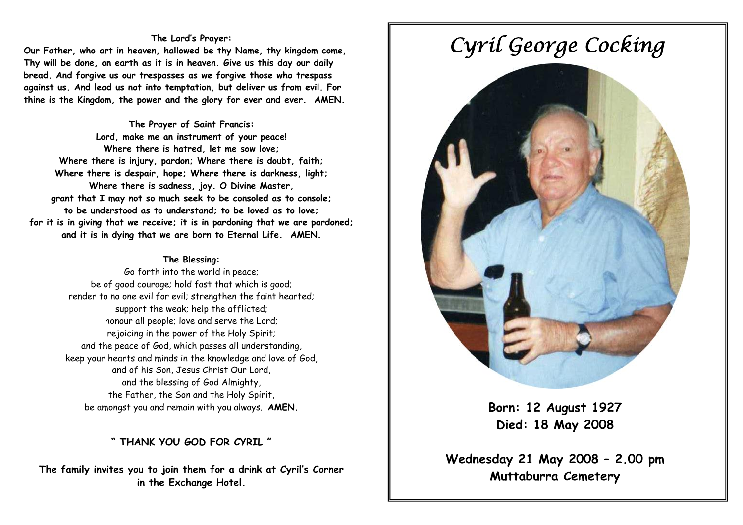## **The Lord's Prayer:**

**Our Father, who art in heaven, hallowed be thy Name, thy kingdom come, Thy will be done, on earth as it is in heaven. Give us this day our daily bread. And forgive us our trespasses as we forgive those who trespass against us. And lead us not into temptation, but deliver us from evil. For thine is the Kingdom, the power and the glory for ever and ever. AMEN.** 

**The Prayer of Saint Francis: Lord, make me an instrument of your peace! Where there is hatred, let me sow love; Where there is injury, pardon; Where there is doubt, faith; Where there is despair, hope; Where there is darkness, light; Where there is sadness, joy. O Divine Master, grant that I may not so much seek to be consoled as to console; to be understood as to understand; to be loved as to love; for it is in giving that we receive; it is in pardoning that we are pardoned; and it is in dying that we are born to Eternal Life. AMEN.** 

## **The Blessing:**

Go forth into the world in peace; be of good courage; hold fast that which is good; render to no one evil for evil; strengthen the faint hearted; support the weak; help the afflicted; honour all people; love and serve the Lord; rejoicing in the power of the Holy Spirit; and the peace of God, which passes all understanding, keep your hearts and minds in the knowledge and love of God, and of his Son, Jesus Christ Our Lord, and the blessing of God Almighty, the Father, the Son and the Holy Spirit, be amongst you and remain with you always. **AMEN.** 

**" THANK YOU GOD FOR CYRIL "** 

**The family invites you to join them for a drink at Cyril's Corner in the Exchange Hotel.** 

# *Cyril George Cocking*



 **Born: 12 August 1927 Died: 18 May 2008** 

 **Wednesday 21 May 2008 – 2.00 pm Muttaburra Cemetery**